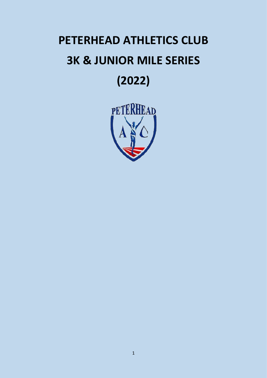# **PETERHEAD ATHLETICS CLUB 3K & JUNIOR MILE SERIES (2022)**

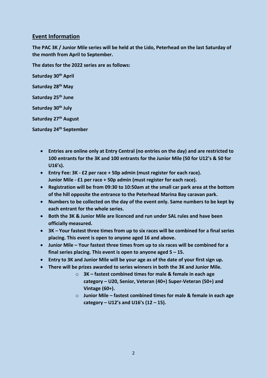## **Event Information**

**The PAC 3K / Junior Mile series will be held at the Lido, Peterhead on the last Saturday of the month from April to September.** 

**The dates for the 2022 series are as follows:**

**Saturday 30th April Saturday 28th May Saturday 25th June Saturday 30th July Saturday 27th August Saturday 24th September**

- **Entries are online only at Entry Central (no entries on the day) and are restricted to 100 entrants for the 3K and 100 entrants for the Junior Mile (50 for U12's & 50 for U16's).**
- **Entry Fee: 3K - £2 per race + 50p admin (must register for each race). Junior Mile - £1 per race + 50p admin (must register for each race).**
- **Registration will be from 09:30 to 10:50am at the small car park area at the bottom of the hill opposite the entrance to the Peterhead Marina Bay caravan park.**
- **Numbers to be collected on the day of the event only. Same numbers to be kept by each entrant for the whole series.**
- **Both the 3K & Junior Mile are licenced and run under SAL rules and have been officially measured.**
- **3K – Your fastest three times from up to six races will be combined for a final series placing. This event is open to anyone aged 16 and above.**
- **Junior Mile – Your fastest three times from up to six races will be combined for a final series placing. This event is open to anyone aged 5 – 15.**
- **Entry to 3K and Junior Mile will be your age as of the date of your first sign up.**
- **There will be prizes awarded to series winners in both the 3K and Junior Mile.**
	- o **3K – fastest combined times for male & female in each age category – U20, Senior, Veteran (40+) Super-Veteran (50+) and Vintage (60+).**
	- o **Junior Mile – fastest combined times for male & female in each age category – U12's and U16's (12 – 15).**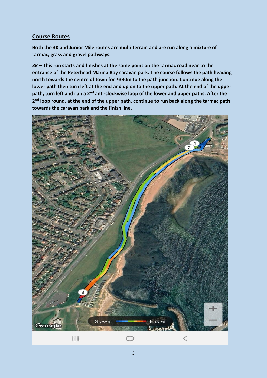# **Course Routes**

**Both the 3K and Junior Mile routes are multi terrain and are run along a mixture of tarmac, grass and gravel pathways.**

*3K* **– This run starts and finishes at the same point on the tarmac road near to the entrance of the Peterhead Marina Bay caravan park. The course follows the path heading north towards the centre of town for ±330m to the path junction. Continue along the lower path then turn left at the end and up on to the upper path. At the end of the upper path, turn left and run a 2nd anti-clockwise loop of the lower and upper paths. After the**  2<sup>nd</sup> loop round, at the end of the upper path, continue to run back along the tarmac path **towards the caravan park and the finish line.**

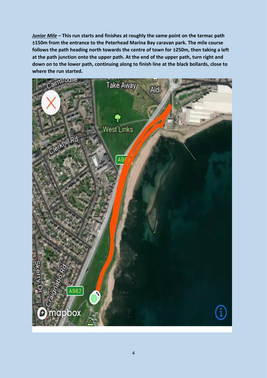*Junior Mile* **– This run starts and finishes at roughly the same point on the tarmac path ±150m from the entrance to the Peterhead Marina Bay caravan park. The mile course follows the path heading north towards the centre of town for ±250m, then taking a left at the path junction onto the upper path. At the end of the upper path, turn right and down on to the lower path, continuing along to finish line at the black bollards, close to where the run started.**